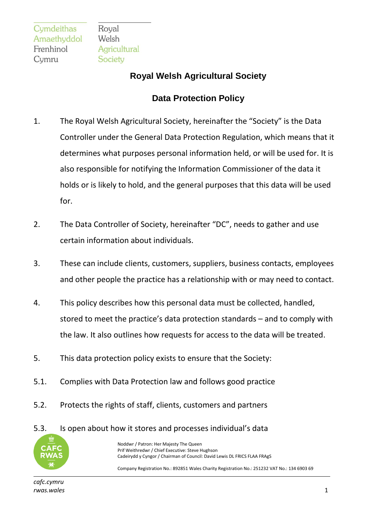Royal Welsh Agricultural Society

## **Royal Welsh Agricultural Society**

## **Data Protection Policy**

- 1. The Royal Welsh Agricultural Society, hereinafter the "Society" is the Data Controller under the General Data Protection Regulation, which means that it determines what purposes personal information held, or will be used for. It is also responsible for notifying the Information Commissioner of the data it holds or is likely to hold, and the general purposes that this data will be used for.
- 2. The Data Controller of Society, hereinafter "DC", needs to gather and use certain information about individuals.
- 3. These can include clients, customers, suppliers, business contacts, employees and other people the practice has a relationship with or may need to contact.
- 4. This policy describes how this personal data must be collected, handled, stored to meet the practice's data protection standards – and to comply with the law. It also outlines how requests for access to the data will be treated.
- 5. This data protection policy exists to ensure that the Society:
- 5.1. Complies with Data Protection law and follows good practice
- 5.2. Protects the rights of staff, clients, customers and partners
- 5.3. Is open about how it stores and processes individual's data



Noddwr / Patron: Her Majesty The Queen Prif Weithredwr / Chief Executive: Steve Hughson Cadeirydd y Cyngor / Chairman of Council: David Lewis DL FRICS FLAA FRAgS

Company Registration No.: 892851 Wales Charity Registration No.: 251232 VAT No.: 134 6903 69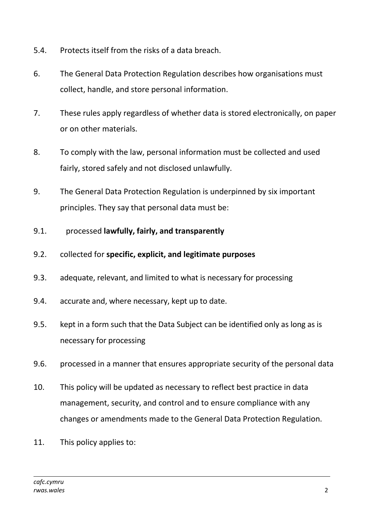- 5.4. Protects itself from the risks of a data breach.
- 6. The General Data Protection Regulation describes how organisations must collect, handle, and store personal information.
- 7. These rules apply regardless of whether data is stored electronically, on paper or on other materials.
- 8. To comply with the law, personal information must be collected and used fairly, stored safely and not disclosed unlawfully.
- 9. The General Data Protection Regulation is underpinned by six important principles. They say that personal data must be:
- 9.1. processed **lawfully, fairly, and transparently**
- 9.2. collected for **specific, explicit, and legitimate purposes**
- 9.3. adequate, relevant, and limited to what is necessary for processing
- 9.4. accurate and, where necessary, kept up to date.
- 9.5. kept in a form such that the Data Subject can be identified only as long as is necessary for processing
- 9.6. processed in a manner that ensures appropriate security of the personal data
- 10. This policy will be updated as necessary to reflect best practice in data management, security, and control and to ensure compliance with any changes or amendments made to the General Data Protection Regulation.
- 11. This policy applies to: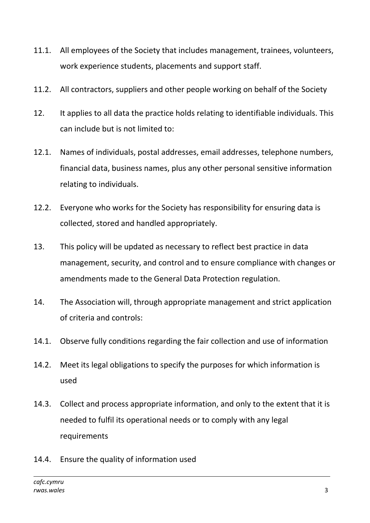- 11.1. All employees of the Society that includes management, trainees, volunteers, work experience students, placements and support staff.
- 11.2. All contractors, suppliers and other people working on behalf of the Society
- 12. It applies to all data the practice holds relating to identifiable individuals. This can include but is not limited to:
- 12.1. Names of individuals, postal addresses, email addresses, telephone numbers, financial data, business names, plus any other personal sensitive information relating to individuals.
- 12.2. Everyone who works for the Society has responsibility for ensuring data is collected, stored and handled appropriately.
- 13. This policy will be updated as necessary to reflect best practice in data management, security, and control and to ensure compliance with changes or amendments made to the General Data Protection regulation.
- 14. The Association will, through appropriate management and strict application of criteria and controls:
- 14.1. Observe fully conditions regarding the fair collection and use of information
- 14.2. Meet its legal obligations to specify the purposes for which information is used
- 14.3. Collect and process appropriate information, and only to the extent that it is needed to fulfil its operational needs or to comply with any legal requirements
- 14.4. Ensure the quality of information used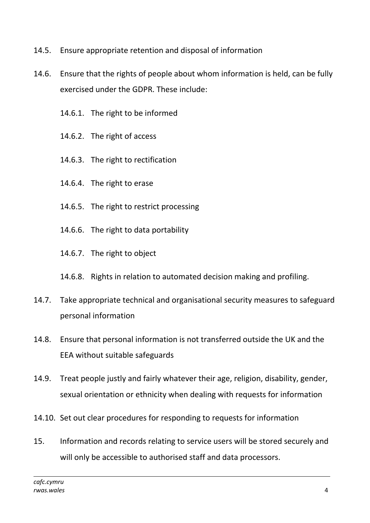- 14.5. Ensure appropriate retention and disposal of information
- 14.6. Ensure that the rights of people about whom information is held, can be fully exercised under the GDPR. These include:
	- 14.6.1. The right to be informed
	- 14.6.2. The right of access
	- 14.6.3. The right to rectification
	- 14.6.4. The right to erase
	- 14.6.5. The right to restrict processing
	- 14.6.6. The right to data portability
	- 14.6.7. The right to object
	- 14.6.8. Rights in relation to automated decision making and profiling.
- 14.7. Take appropriate technical and organisational security measures to safeguard personal information
- 14.8. Ensure that personal information is not transferred outside the UK and the EEA without suitable safeguards
- 14.9. Treat people justly and fairly whatever their age, religion, disability, gender, sexual orientation or ethnicity when dealing with requests for information
- 14.10. Set out clear procedures for responding to requests for information
- 15. Information and records relating to service users will be stored securely and will only be accessible to authorised staff and data processors.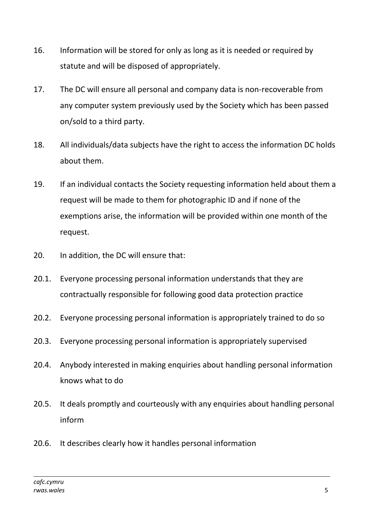- 16. Information will be stored for only as long as it is needed or required by statute and will be disposed of appropriately.
- 17. The DC will ensure all personal and company data is non-recoverable from any computer system previously used by the Society which has been passed on/sold to a third party.
- 18. All individuals/data subjects have the right to access the information DC holds about them.
- 19. If an individual contacts the Society requesting information held about them a request will be made to them for photographic ID and if none of the exemptions arise, the information will be provided within one month of the request.
- 20. In addition, the DC will ensure that:
- 20.1. Everyone processing personal information understands that they are contractually responsible for following good data protection practice
- 20.2. Everyone processing personal information is appropriately trained to do so
- 20.3. Everyone processing personal information is appropriately supervised
- 20.4. Anybody interested in making enquiries about handling personal information knows what to do
- 20.5. It deals promptly and courteously with any enquiries about handling personal inform
- 20.6. It describes clearly how it handles personal information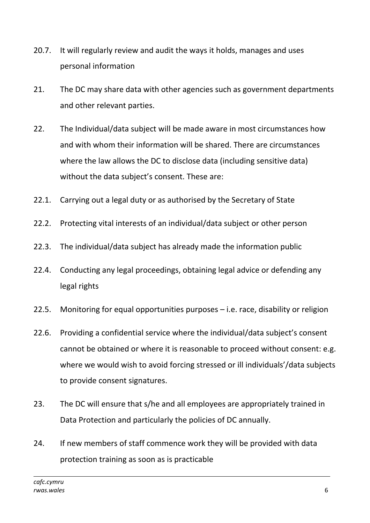- 20.7. It will regularly review and audit the ways it holds, manages and uses personal information
- 21. The DC may share data with other agencies such as government departments and other relevant parties.
- 22. The Individual/data subject will be made aware in most circumstances how and with whom their information will be shared. There are circumstances where the law allows the DC to disclose data (including sensitive data) without the data subject's consent. These are:
- 22.1. Carrying out a legal duty or as authorised by the Secretary of State
- 22.2. Protecting vital interests of an individual/data subject or other person
- 22.3. The individual/data subject has already made the information public
- 22.4. Conducting any legal proceedings, obtaining legal advice or defending any legal rights
- 22.5. Monitoring for equal opportunities purposes i.e. race, disability or religion
- 22.6. Providing a confidential service where the individual/data subject's consent cannot be obtained or where it is reasonable to proceed without consent: e.g. where we would wish to avoid forcing stressed or ill individuals'/data subjects to provide consent signatures.
- 23. The DC will ensure that s/he and all employees are appropriately trained in Data Protection and particularly the policies of DC annually.
- 24. If new members of staff commence work they will be provided with data protection training as soon as is practicable